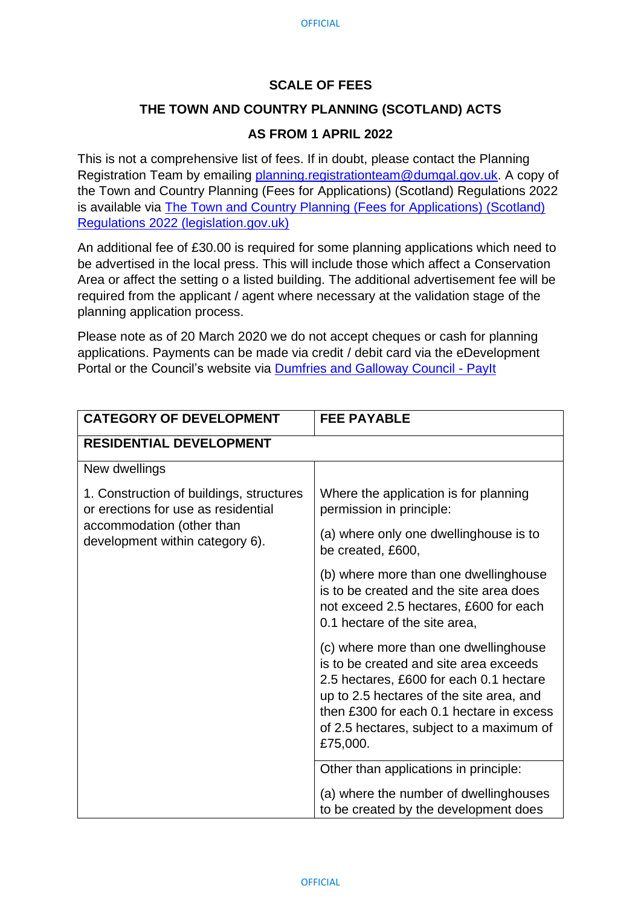## **SCALE OF FEES**

## **THE TOWN AND COUNTRY PLANNING (SCOTLAND) ACTS**

## **AS FROM 1 APRIL 2022**

This is not a comprehensive list of fees. If in doubt, please contact the Planning Registration Team by emailing [planning.registrationteam@dumgal.gov.uk.](mailto:planning.registrationteam@dumgal.gov.uk) A copy of the Town and Country Planning (Fees for Applications) (Scotland) Regulations 2022 is available via [The Town and Country Planning \(Fees for Applications\) \(Scotland\)](https://www.legislation.gov.uk/ssi/2022/50/contents/made)  [Regulations 2022 \(legislation.gov.uk\)](https://www.legislation.gov.uk/ssi/2022/50/contents/made)

An additional fee of £30.00 is required for some planning applications which need to be advertised in the local press. This will include those which affect a Conservation Area or affect the setting o a listed building. The additional advertisement fee will be required from the applicant / agent where necessary at the validation stage of the planning application process.

Please note as of 20 March 2020 we do not accept cheques or cash for planning applications. Payments can be made via credit / debit card via the eDevelopment Portal or the Council's website via [Dumfries and Galloway Council -](https://ip.e-paycapita.com/AIP/itemSelectionPage.do?link=showItemSelectionPage&siteId=131&languageCode=EN&source=AIP) PayIt

| <b>CATEGORY OF DEVELOPMENT</b>                                                                                                                  | <b>FEE PAYABLE</b>                                                                                                                                                                                                                                                         |
|-------------------------------------------------------------------------------------------------------------------------------------------------|----------------------------------------------------------------------------------------------------------------------------------------------------------------------------------------------------------------------------------------------------------------------------|
| <b>RESIDENTIAL DEVELOPMENT</b>                                                                                                                  |                                                                                                                                                                                                                                                                            |
| New dwellings                                                                                                                                   |                                                                                                                                                                                                                                                                            |
| 1. Construction of buildings, structures<br>or erections for use as residential<br>accommodation (other than<br>development within category 6). | Where the application is for planning<br>permission in principle:                                                                                                                                                                                                          |
|                                                                                                                                                 | (a) where only one dwellinghouse is to<br>be created, £600,                                                                                                                                                                                                                |
|                                                                                                                                                 | (b) where more than one dwellinghouse<br>is to be created and the site area does<br>not exceed 2.5 hectares, £600 for each<br>0.1 hectare of the site area,                                                                                                                |
|                                                                                                                                                 | (c) where more than one dwellinghouse<br>is to be created and site area exceeds<br>2.5 hectares, £600 for each 0.1 hectare<br>up to 2.5 hectares of the site area, and<br>then £300 for each 0.1 hectare in excess<br>of 2.5 hectares, subject to a maximum of<br>£75,000. |
|                                                                                                                                                 | Other than applications in principle:                                                                                                                                                                                                                                      |
|                                                                                                                                                 | (a) where the number of dwellinghouses<br>to be created by the development does                                                                                                                                                                                            |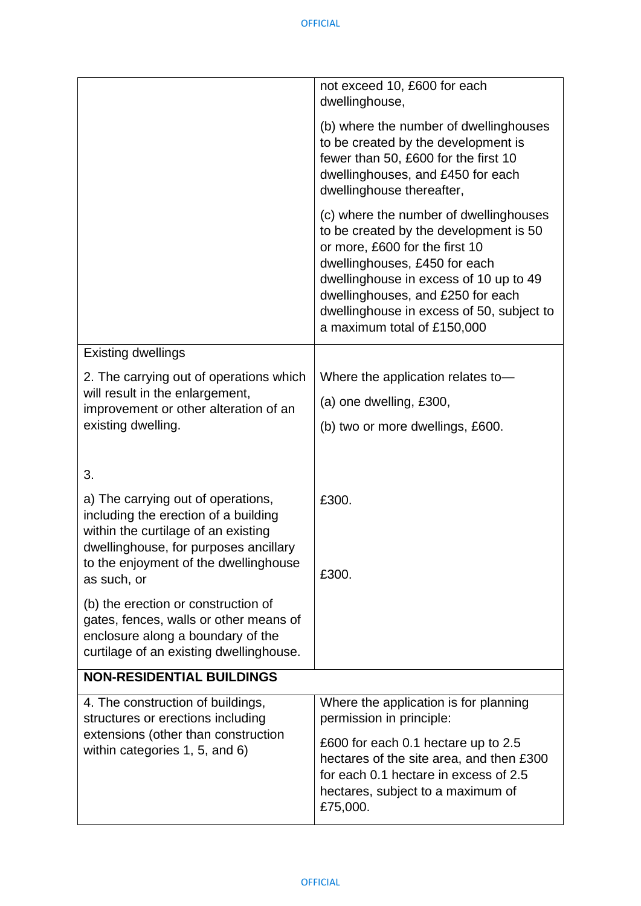|                                                                                                                                                                                                           | not exceed 10, £600 for each<br>dwellinghouse,                                                                                                                                                                                                                                                                 |
|-----------------------------------------------------------------------------------------------------------------------------------------------------------------------------------------------------------|----------------------------------------------------------------------------------------------------------------------------------------------------------------------------------------------------------------------------------------------------------------------------------------------------------------|
|                                                                                                                                                                                                           | (b) where the number of dwellinghouses<br>to be created by the development is<br>fewer than 50, £600 for the first 10<br>dwellinghouses, and £450 for each<br>dwellinghouse thereafter,                                                                                                                        |
|                                                                                                                                                                                                           | (c) where the number of dwellinghouses<br>to be created by the development is 50<br>or more, £600 for the first 10<br>dwellinghouses, £450 for each<br>dwellinghouse in excess of 10 up to 49<br>dwellinghouses, and £250 for each<br>dwellinghouse in excess of 50, subject to<br>a maximum total of £150,000 |
| <b>Existing dwellings</b>                                                                                                                                                                                 |                                                                                                                                                                                                                                                                                                                |
| 2. The carrying out of operations which                                                                                                                                                                   | Where the application relates to-                                                                                                                                                                                                                                                                              |
| will result in the enlargement,<br>improvement or other alteration of an                                                                                                                                  | (a) one dwelling, £300,                                                                                                                                                                                                                                                                                        |
| existing dwelling.                                                                                                                                                                                        | (b) two or more dwellings, £600.                                                                                                                                                                                                                                                                               |
| 3.<br>a) The carrying out of operations,<br>including the erection of a building<br>within the curtilage of an existing<br>dwellinghouse, for purposes ancillary<br>to the enjoyment of the dwellinghouse | £300.<br>£300.                                                                                                                                                                                                                                                                                                 |
| as such, or                                                                                                                                                                                               |                                                                                                                                                                                                                                                                                                                |
| (b) the erection or construction of<br>gates, fences, walls or other means of<br>enclosure along a boundary of the<br>curtilage of an existing dwellinghouse.                                             |                                                                                                                                                                                                                                                                                                                |
| <b>NON-RESIDENTIAL BUILDINGS</b>                                                                                                                                                                          |                                                                                                                                                                                                                                                                                                                |
| 4. The construction of buildings,<br>structures or erections including                                                                                                                                    | Where the application is for planning<br>permission in principle:                                                                                                                                                                                                                                              |
| extensions (other than construction<br>within categories 1, 5, and 6)                                                                                                                                     | £600 for each 0.1 hectare up to 2.5<br>hectares of the site area, and then £300<br>for each 0.1 hectare in excess of 2.5<br>hectares, subject to a maximum of<br>£75,000.                                                                                                                                      |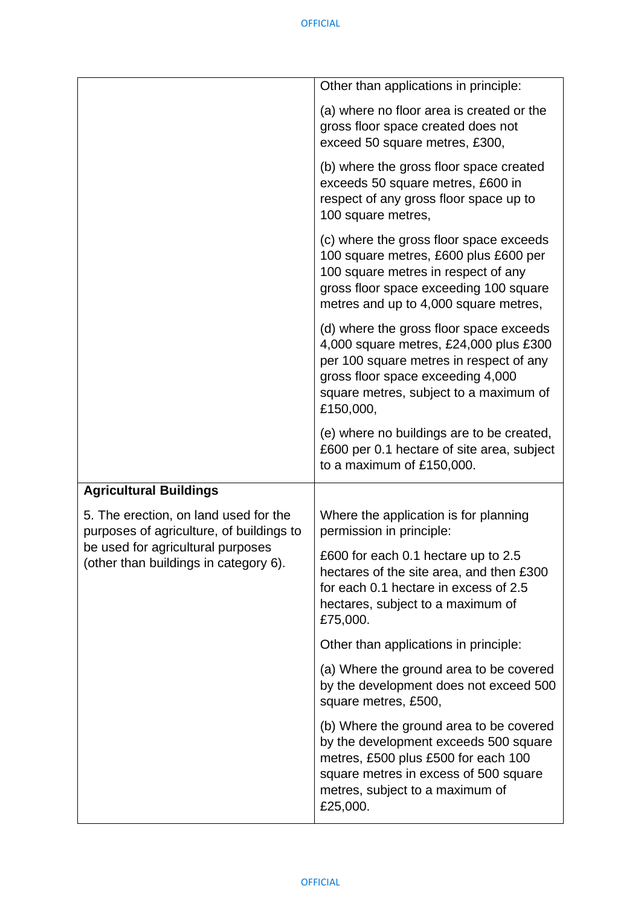|                                                                                   | Other than applications in principle:                                                                                                                                                                                    |
|-----------------------------------------------------------------------------------|--------------------------------------------------------------------------------------------------------------------------------------------------------------------------------------------------------------------------|
|                                                                                   | (a) where no floor area is created or the<br>gross floor space created does not<br>exceed 50 square metres, £300,                                                                                                        |
|                                                                                   | (b) where the gross floor space created<br>exceeds 50 square metres, £600 in<br>respect of any gross floor space up to<br>100 square metres,                                                                             |
|                                                                                   | (c) where the gross floor space exceeds<br>100 square metres, £600 plus £600 per<br>100 square metres in respect of any<br>gross floor space exceeding 100 square<br>metres and up to 4,000 square metres,               |
|                                                                                   | (d) where the gross floor space exceeds<br>4,000 square metres, £24,000 plus £300<br>per 100 square metres in respect of any<br>gross floor space exceeding 4,000<br>square metres, subject to a maximum of<br>£150,000, |
|                                                                                   | (e) where no buildings are to be created,<br>£600 per 0.1 hectare of site area, subject<br>to a maximum of £150,000.                                                                                                     |
| <b>Agricultural Buildings</b>                                                     |                                                                                                                                                                                                                          |
| 5. The erection, on land used for the<br>purposes of agriculture, of buildings to | Where the application is for planning<br>permission in principle:                                                                                                                                                        |
| be used for agricultural purposes<br>(other than buildings in category 6).        | £600 for each 0.1 hectare up to 2.5<br>hectares of the site area, and then £300<br>for each 0.1 hectare in excess of 2.5<br>hectares, subject to a maximum of<br>£75,000.                                                |
|                                                                                   | Other than applications in principle:                                                                                                                                                                                    |
|                                                                                   | (a) Where the ground area to be covered<br>by the development does not exceed 500<br>square metres, £500,                                                                                                                |
|                                                                                   | (b) Where the ground area to be covered<br>by the development exceeds 500 square<br>metres, £500 plus £500 for each 100<br>square metres in excess of 500 square<br>metres, subject to a maximum of<br>£25,000.          |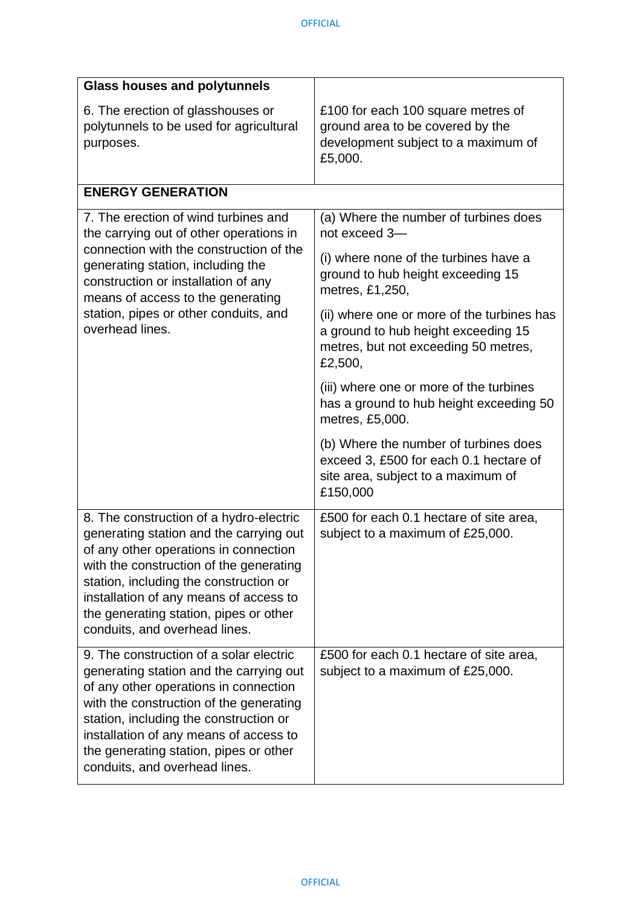| <b>Glass houses and polytunnels</b>                                                                                                                                                                                                                                                                                                   |                                                                                                                                      |
|---------------------------------------------------------------------------------------------------------------------------------------------------------------------------------------------------------------------------------------------------------------------------------------------------------------------------------------|--------------------------------------------------------------------------------------------------------------------------------------|
| 6. The erection of glasshouses or<br>polytunnels to be used for agricultural<br>purposes.                                                                                                                                                                                                                                             | £100 for each 100 square metres of<br>ground area to be covered by the<br>development subject to a maximum of<br>£5,000.             |
| <b>ENERGY GENERATION</b>                                                                                                                                                                                                                                                                                                              |                                                                                                                                      |
| 7. The erection of wind turbines and<br>the carrying out of other operations in<br>connection with the construction of the<br>generating station, including the<br>construction or installation of any<br>means of access to the generating<br>station, pipes or other conduits, and<br>overhead lines.                               | (a) Where the number of turbines does<br>not exceed 3-                                                                               |
|                                                                                                                                                                                                                                                                                                                                       | (i) where none of the turbines have a<br>ground to hub height exceeding 15<br>metres, £1,250,                                        |
|                                                                                                                                                                                                                                                                                                                                       | (ii) where one or more of the turbines has<br>a ground to hub height exceeding 15<br>metres, but not exceeding 50 metres,<br>£2,500, |
|                                                                                                                                                                                                                                                                                                                                       | (iii) where one or more of the turbines<br>has a ground to hub height exceeding 50<br>metres, £5,000.                                |
|                                                                                                                                                                                                                                                                                                                                       | (b) Where the number of turbines does<br>exceed 3, £500 for each 0.1 hectare of<br>site area, subject to a maximum of<br>£150,000    |
| 8. The construction of a hydro-electric<br>generating station and the carrying out<br>of any other operations in connection<br>with the construction of the generating<br>station, including the construction or<br>installation of any means of access to<br>the generating station, pipes or other<br>conduits, and overhead lines. | £500 for each 0.1 hectare of site area,<br>subject to a maximum of £25,000.                                                          |
| 9. The construction of a solar electric<br>generating station and the carrying out<br>of any other operations in connection<br>with the construction of the generating<br>station, including the construction or<br>installation of any means of access to<br>the generating station, pipes or other<br>conduits, and overhead lines. | £500 for each 0.1 hectare of site area,<br>subject to a maximum of £25,000.                                                          |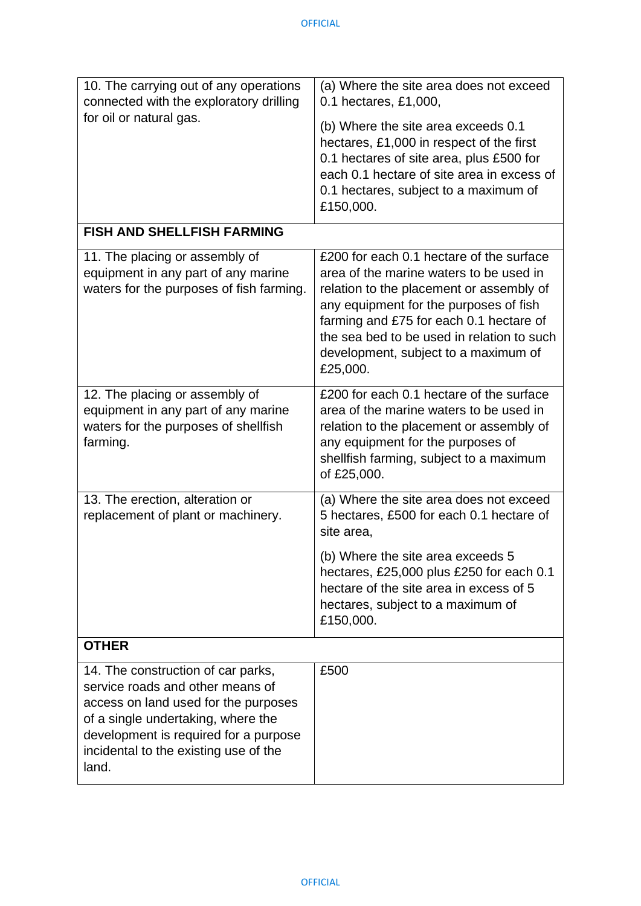| 10. The carrying out of any operations<br>connected with the exploratory drilling                                                                                                                                                               | (a) Where the site area does not exceed<br>0.1 hectares, £1,000,                                                                                                                                                                                                                                                       |
|-------------------------------------------------------------------------------------------------------------------------------------------------------------------------------------------------------------------------------------------------|------------------------------------------------------------------------------------------------------------------------------------------------------------------------------------------------------------------------------------------------------------------------------------------------------------------------|
| for oil or natural gas.                                                                                                                                                                                                                         | (b) Where the site area exceeds 0.1<br>hectares, £1,000 in respect of the first<br>0.1 hectares of site area, plus £500 for<br>each 0.1 hectare of site area in excess of<br>0.1 hectares, subject to a maximum of<br>£150,000.                                                                                        |
| <b>FISH AND SHELLFISH FARMING</b>                                                                                                                                                                                                               |                                                                                                                                                                                                                                                                                                                        |
| 11. The placing or assembly of<br>equipment in any part of any marine<br>waters for the purposes of fish farming.                                                                                                                               | £200 for each 0.1 hectare of the surface<br>area of the marine waters to be used in<br>relation to the placement or assembly of<br>any equipment for the purposes of fish<br>farming and £75 for each 0.1 hectare of<br>the sea bed to be used in relation to such<br>development, subject to a maximum of<br>£25,000. |
| 12. The placing or assembly of<br>equipment in any part of any marine<br>waters for the purposes of shellfish<br>farming.                                                                                                                       | £200 for each 0.1 hectare of the surface<br>area of the marine waters to be used in<br>relation to the placement or assembly of<br>any equipment for the purposes of<br>shellfish farming, subject to a maximum<br>of £25,000.                                                                                         |
| 13. The erection, alteration or<br>replacement of plant or machinery.                                                                                                                                                                           | (a) Where the site area does not exceed<br>5 hectares, £500 for each 0.1 hectare of<br>site area.                                                                                                                                                                                                                      |
|                                                                                                                                                                                                                                                 | (b) Where the site area exceeds 5<br>hectares, £25,000 plus £250 for each 0.1<br>hectare of the site area in excess of 5<br>hectares, subject to a maximum of<br>£150,000.                                                                                                                                             |
| <b>OTHER</b>                                                                                                                                                                                                                                    |                                                                                                                                                                                                                                                                                                                        |
| 14. The construction of car parks,<br>service roads and other means of<br>access on land used for the purposes<br>of a single undertaking, where the<br>development is required for a purpose<br>incidental to the existing use of the<br>land. | £500                                                                                                                                                                                                                                                                                                                   |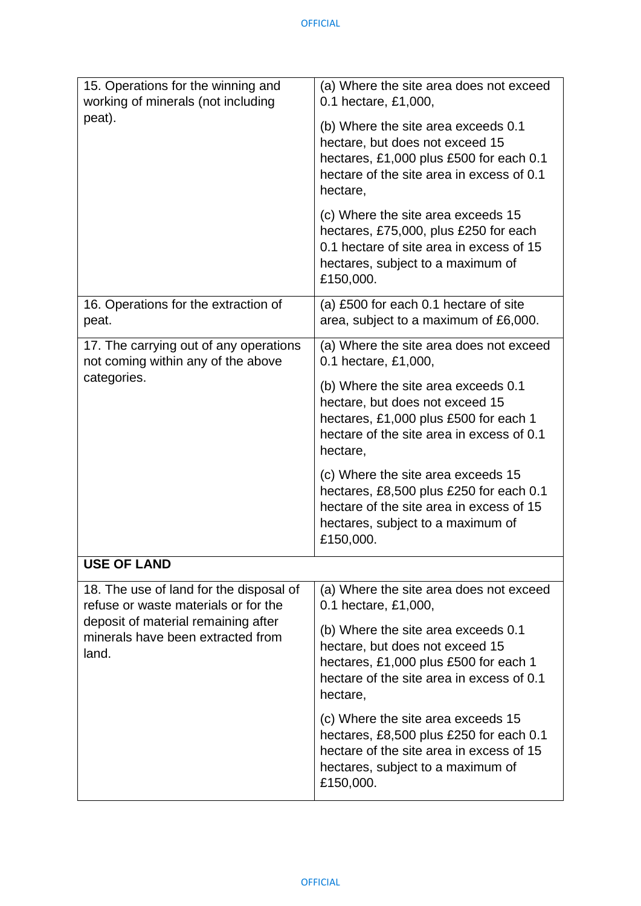| 15. Operations for the winning and<br>working of minerals (not including                                                                                             | (a) Where the site area does not exceed<br>0.1 hectare, £1,000,                                                                                                             |
|----------------------------------------------------------------------------------------------------------------------------------------------------------------------|-----------------------------------------------------------------------------------------------------------------------------------------------------------------------------|
| peat).                                                                                                                                                               | (b) Where the site area exceeds 0.1<br>hectare, but does not exceed 15<br>hectares, £1,000 plus £500 for each 0.1<br>hectare of the site area in excess of 0.1<br>hectare,  |
|                                                                                                                                                                      | (c) Where the site area exceeds 15<br>hectares, £75,000, plus £250 for each<br>0.1 hectare of site area in excess of 15<br>hectares, subject to a maximum of<br>£150,000.   |
| 16. Operations for the extraction of<br>peat.                                                                                                                        | (a) £500 for each 0.1 hectare of site<br>area, subject to a maximum of £6,000.                                                                                              |
| 17. The carrying out of any operations<br>not coming within any of the above                                                                                         | (a) Where the site area does not exceed<br>0.1 hectare, £1,000,                                                                                                             |
| categories.                                                                                                                                                          | (b) Where the site area exceeds 0.1<br>hectare, but does not exceed 15<br>hectares, £1,000 plus £500 for each 1<br>hectare of the site area in excess of 0.1<br>hectare,    |
|                                                                                                                                                                      | (c) Where the site area exceeds 15<br>hectares, £8,500 plus £250 for each 0.1<br>hectare of the site area in excess of 15<br>hectares, subject to a maximum of<br>£150,000. |
| <b>USE OF LAND</b>                                                                                                                                                   |                                                                                                                                                                             |
| 18. The use of land for the disposal of<br>refuse or waste materials or for the<br>deposit of material remaining after<br>minerals have been extracted from<br>land. | (a) Where the site area does not exceed<br>0.1 hectare, £1,000,                                                                                                             |
|                                                                                                                                                                      | (b) Where the site area exceeds 0.1<br>hectare, but does not exceed 15<br>hectares, £1,000 plus £500 for each 1<br>hectare of the site area in excess of 0.1<br>hectare,    |
|                                                                                                                                                                      | (c) Where the site area exceeds 15<br>hectares, £8,500 plus £250 for each 0.1<br>hectare of the site area in excess of 15<br>hectares, subject to a maximum of<br>£150,000. |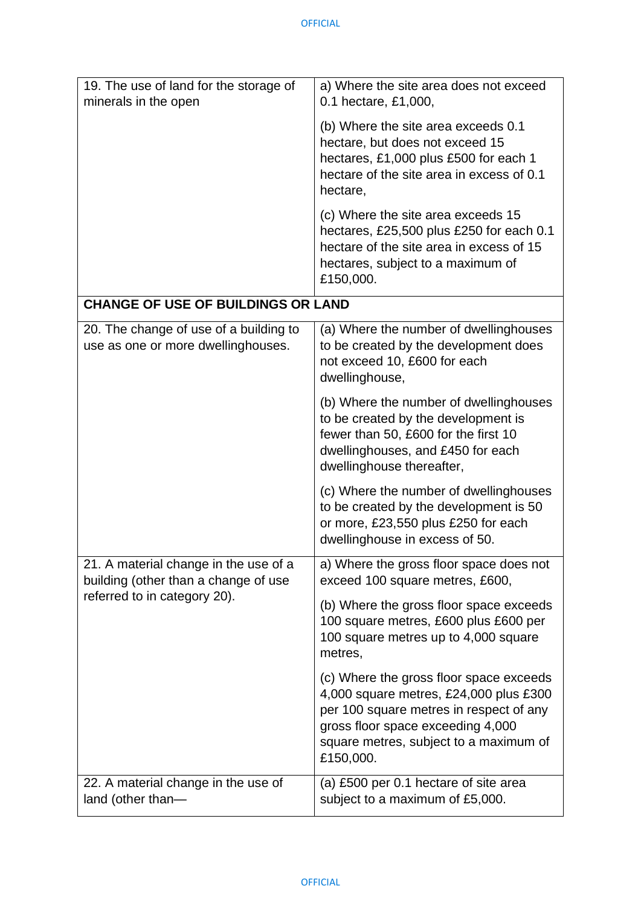| 19. The use of land for the storage of<br>minerals in the open                | a) Where the site area does not exceed<br>0.1 hectare, £1,000,                                                                                                                                                           |
|-------------------------------------------------------------------------------|--------------------------------------------------------------------------------------------------------------------------------------------------------------------------------------------------------------------------|
|                                                                               | (b) Where the site area exceeds 0.1<br>hectare, but does not exceed 15<br>hectares, £1,000 plus £500 for each 1<br>hectare of the site area in excess of 0.1<br>hectare,                                                 |
|                                                                               | (c) Where the site area exceeds 15<br>hectares, £25,500 plus £250 for each 0.1<br>hectare of the site area in excess of 15<br>hectares, subject to a maximum of<br>£150,000.                                             |
| <b>CHANGE OF USE OF BUILDINGS OR LAND</b>                                     |                                                                                                                                                                                                                          |
| 20. The change of use of a building to<br>use as one or more dwellinghouses.  | (a) Where the number of dwellinghouses<br>to be created by the development does<br>not exceed 10, £600 for each<br>dwellinghouse,                                                                                        |
|                                                                               | (b) Where the number of dwellinghouses<br>to be created by the development is<br>fewer than 50, £600 for the first 10<br>dwellinghouses, and £450 for each<br>dwellinghouse thereafter,                                  |
|                                                                               | (c) Where the number of dwellinghouses<br>to be created by the development is 50<br>or more, £23,550 plus £250 for each<br>dwellinghouse in excess of 50.                                                                |
| 21. A material change in the use of a<br>building (other than a change of use | a) Where the gross floor space does not<br>exceed 100 square metres, £600,                                                                                                                                               |
| referred to in category 20).                                                  | (b) Where the gross floor space exceeds<br>100 square metres, £600 plus £600 per<br>100 square metres up to 4,000 square<br>metres,                                                                                      |
|                                                                               | (c) Where the gross floor space exceeds<br>4,000 square metres, £24,000 plus £300<br>per 100 square metres in respect of any<br>gross floor space exceeding 4,000<br>square metres, subject to a maximum of<br>£150,000. |
| 22. A material change in the use of<br>land (other than-                      | (a) £500 per 0.1 hectare of site area<br>subject to a maximum of £5,000.                                                                                                                                                 |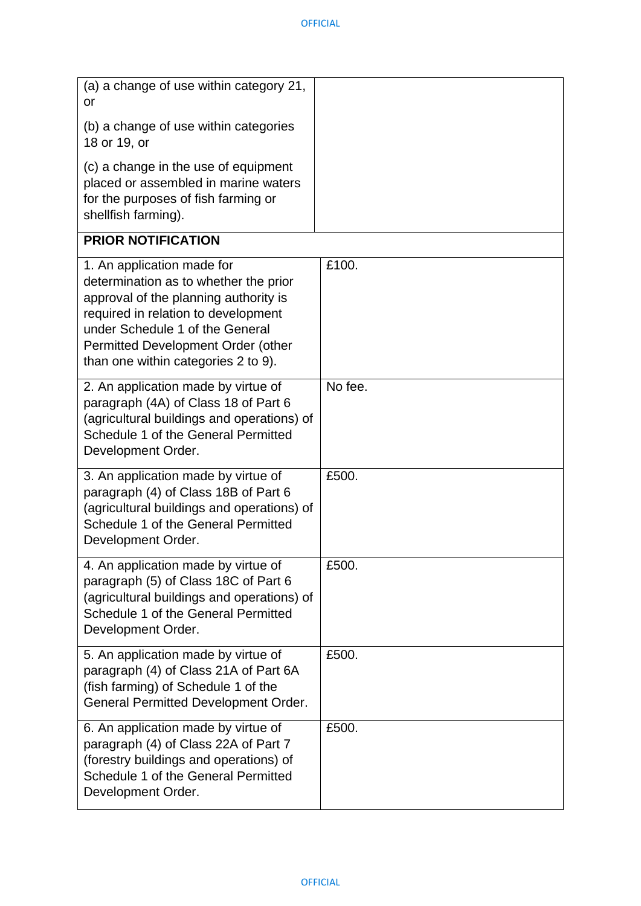| (a) a change of use within category 21,<br><b>or</b><br>(b) a change of use within categories<br>18 or 19, or                                                                                                                                                       |         |
|---------------------------------------------------------------------------------------------------------------------------------------------------------------------------------------------------------------------------------------------------------------------|---------|
| (c) a change in the use of equipment<br>placed or assembled in marine waters<br>for the purposes of fish farming or<br>shellfish farming).                                                                                                                          |         |
| <b>PRIOR NOTIFICATION</b>                                                                                                                                                                                                                                           |         |
| 1. An application made for<br>determination as to whether the prior<br>approval of the planning authority is<br>required in relation to development<br>under Schedule 1 of the General<br>Permitted Development Order (other<br>than one within categories 2 to 9). | £100.   |
| 2. An application made by virtue of<br>paragraph (4A) of Class 18 of Part 6<br>(agricultural buildings and operations) of<br>Schedule 1 of the General Permitted<br>Development Order.                                                                              | No fee. |
| 3. An application made by virtue of<br>paragraph (4) of Class 18B of Part 6<br>(agricultural buildings and operations) of<br>Schedule 1 of the General Permitted<br>Development Order.                                                                              | £500.   |
| 4. An application made by virtue of<br>paragraph (5) of Class 18C of Part 6<br>(agricultural buildings and operations) of<br>Schedule 1 of the General Permitted<br>Development Order.                                                                              | £500.   |
| 5. An application made by virtue of<br>paragraph (4) of Class 21A of Part 6A<br>(fish farming) of Schedule 1 of the<br><b>General Permitted Development Order.</b>                                                                                                  | £500.   |
| 6. An application made by virtue of<br>paragraph (4) of Class 22A of Part 7<br>(forestry buildings and operations) of<br>Schedule 1 of the General Permitted<br>Development Order.                                                                                  | £500.   |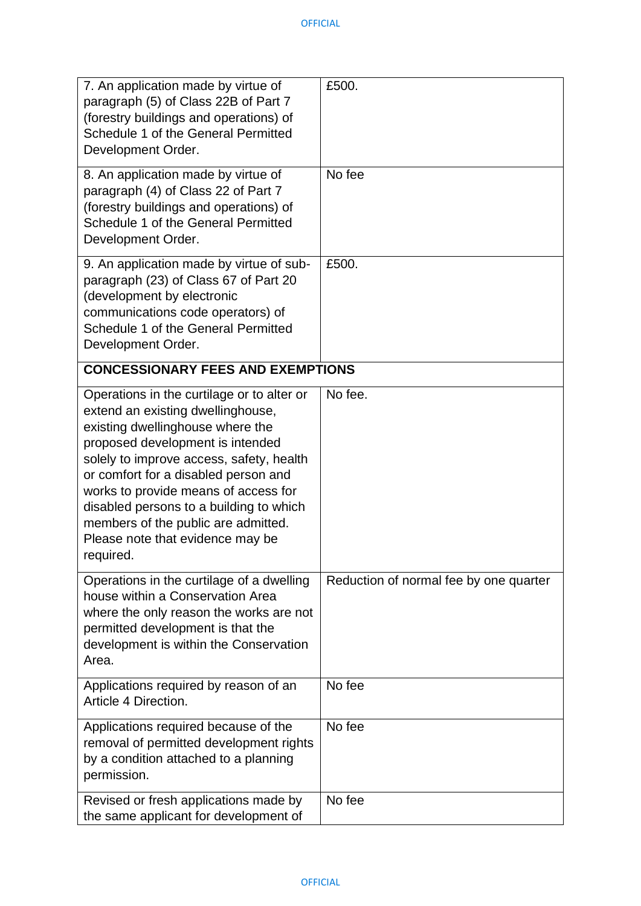| 7. An application made by virtue of<br>paragraph (5) of Class 22B of Part 7<br>(forestry buildings and operations) of<br>Schedule 1 of the General Permitted<br>Development Order.                                                                                                                                                                                                                                     | £500.                                  |
|------------------------------------------------------------------------------------------------------------------------------------------------------------------------------------------------------------------------------------------------------------------------------------------------------------------------------------------------------------------------------------------------------------------------|----------------------------------------|
| 8. An application made by virtue of<br>paragraph (4) of Class 22 of Part 7<br>(forestry buildings and operations) of<br>Schedule 1 of the General Permitted<br>Development Order.                                                                                                                                                                                                                                      | No fee                                 |
| 9. An application made by virtue of sub-<br>paragraph (23) of Class 67 of Part 20<br>(development by electronic<br>communications code operators) of<br>Schedule 1 of the General Permitted<br>Development Order.                                                                                                                                                                                                      | £500.                                  |
| <b>CONCESSIONARY FEES AND EXEMPTIONS</b>                                                                                                                                                                                                                                                                                                                                                                               |                                        |
| Operations in the curtilage or to alter or<br>extend an existing dwellinghouse,<br>existing dwellinghouse where the<br>proposed development is intended<br>solely to improve access, safety, health<br>or comfort for a disabled person and<br>works to provide means of access for<br>disabled persons to a building to which<br>members of the public are admitted.<br>Please note that evidence may be<br>required. | No fee.                                |
| Operations in the curtilage of a dwelling<br>house within a Conservation Area<br>where the only reason the works are not<br>permitted development is that the<br>development is within the Conservation<br>Area.                                                                                                                                                                                                       | Reduction of normal fee by one quarter |
| Applications required by reason of an<br>Article 4 Direction.                                                                                                                                                                                                                                                                                                                                                          | No fee                                 |
| Applications required because of the<br>removal of permitted development rights<br>by a condition attached to a planning<br>permission.                                                                                                                                                                                                                                                                                | No fee                                 |
| Revised or fresh applications made by<br>the same applicant for development of                                                                                                                                                                                                                                                                                                                                         | No fee                                 |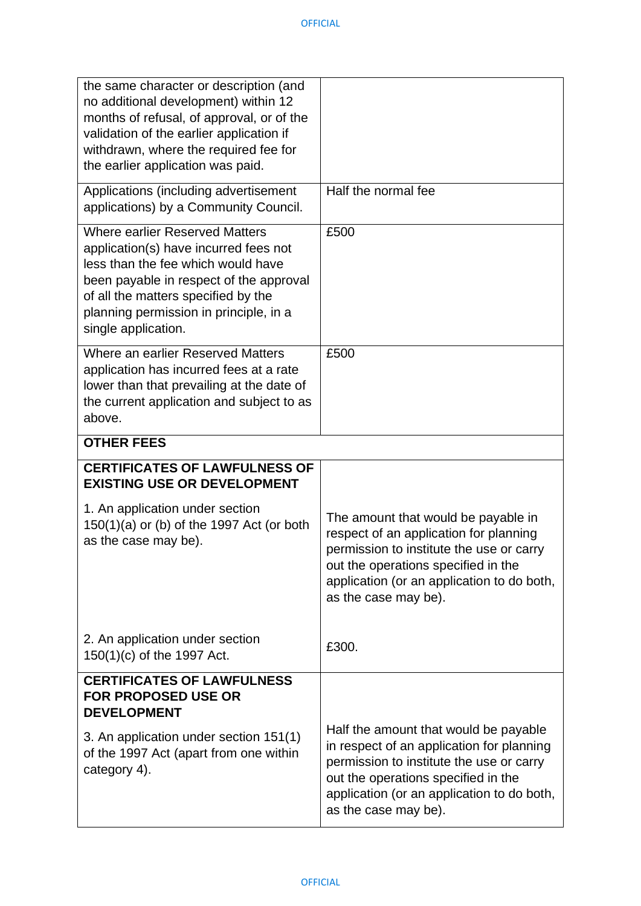| the same character or description (and<br>no additional development) within 12<br>months of refusal, of approval, or of the<br>validation of the earlier application if<br>withdrawn, where the required fee for<br>the earlier application was paid.                   |                                                                                                                                                                                                                                             |
|-------------------------------------------------------------------------------------------------------------------------------------------------------------------------------------------------------------------------------------------------------------------------|---------------------------------------------------------------------------------------------------------------------------------------------------------------------------------------------------------------------------------------------|
| Applications (including advertisement<br>applications) by a Community Council.                                                                                                                                                                                          | Half the normal fee                                                                                                                                                                                                                         |
| <b>Where earlier Reserved Matters</b><br>application(s) have incurred fees not<br>less than the fee which would have<br>been payable in respect of the approval<br>of all the matters specified by the<br>planning permission in principle, in a<br>single application. | £500                                                                                                                                                                                                                                        |
| Where an earlier Reserved Matters<br>application has incurred fees at a rate<br>lower than that prevailing at the date of<br>the current application and subject to as<br>above.                                                                                        | £500                                                                                                                                                                                                                                        |
| <b>OTHER FEES</b>                                                                                                                                                                                                                                                       |                                                                                                                                                                                                                                             |
| <b>CERTIFICATES OF LAWFULNESS OF</b><br><b>EXISTING USE OR DEVELOPMENT</b>                                                                                                                                                                                              |                                                                                                                                                                                                                                             |
| 1. An application under section<br>$150(1)(a)$ or (b) of the 1997 Act (or both<br>as the case may be).                                                                                                                                                                  | The amount that would be payable in<br>respect of an application for planning<br>permission to institute the use or carry<br>out the operations specified in the<br>application (or an application to do both,<br>as the case may be).      |
| 2. An application under section<br>150(1)(c) of the 1997 Act.                                                                                                                                                                                                           | £300.                                                                                                                                                                                                                                       |
| <b>CERTIFICATES OF LAWFULNESS</b><br><b>FOR PROPOSED USE OR</b><br><b>DEVELOPMENT</b>                                                                                                                                                                                   |                                                                                                                                                                                                                                             |
| 3. An application under section 151(1)<br>of the 1997 Act (apart from one within<br>category 4).                                                                                                                                                                        | Half the amount that would be payable<br>in respect of an application for planning<br>permission to institute the use or carry<br>out the operations specified in the<br>application (or an application to do both,<br>as the case may be). |